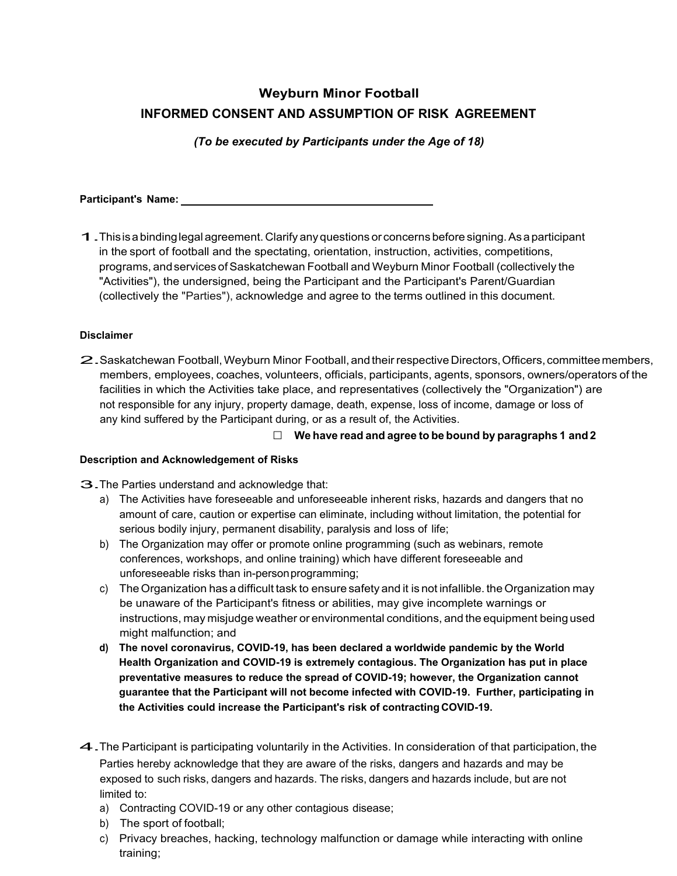# **Weyburn Minor Football INFORMED CONSENT AND ASSUMPTION OF RISK AGREEMENT**

*(To be executed by Participants under the Age of 18)*

**Participant's Name:** 

1. This is a binding legal agreement. Clarify any questions or concerns before signing. As a participant in the sport of football and the spectating, orientation, instruction, activities, competitions, programs, and services of Saskatchewan Football and Weyburn Minor Football (collectively the "Activities"), the undersigned, being the Participant and the Participant's Parent/Guardian (collectively the "Parties"), acknowledge and agree to the terms outlined in this document.

# **Disclaimer**

2. Saskatchewan Football, Weyburn Minor Football, and their respective Directors, Officers, committee members, members, employees, coaches, volunteers, officials, participants, agents, sponsors, owners/operators of the facilities in which the Activities take place, and representatives (collectively the "Organization") are not responsible for any injury, property damage, death, expense, loss of income, damage or loss of any kind suffered by the Participant during, or as a result of, the Activities.

□ **We have read and agree to be bound by paragraphs 1 and 2**

## **Description and Acknowledgement of Risks**

3. The Parties understand and acknowledge that:

- a) The Activities have foreseeable and unforeseeable inherent risks, hazards and dangers that no amount of care, caution or expertise can eliminate, including without limitation, the potential for serious bodily injury, permanent disability, paralysis and loss of life;
- b) The Organization may offer or promote online programming (such as webinars, remote conferences, workshops, and online training) which have different foreseeable and unforeseeable risks than in-person programming;
- c) The Organization has a difficult task to ensure safety and it is not infallible. the Organization may be unaware of the Participant's fitness or abilities, may give incomplete warnings or instructions, may misjudge weather or environmental conditions, and the equipment being used might malfunction; and
- **d) The novel coronavirus, COVID-19, has been declared a worldwide pandemic by the World Health Organization and COVID-19 is extremely contagious. The Organization has put in place preventative measures to reduce the spread of COVID-19; however, the Organization cannot guarantee that the Participant will not become infected with COVID-19. Further, participating in the Activities could increase the Participant's risk of contracting COVID-19.**
- 4. The Participant is participating voluntarily in the Activities. In consideration of that participation, the Parties hereby acknowledge that they are aware of the risks, dangers and hazards and may be exposed to such risks, dangers and hazards. The risks, dangers and hazards include, but are not limited to:
	- a) Contracting COVID-19 or any other contagious disease;
	- b) The sport of football;
	- c) Privacy breaches, hacking, technology malfunction or damage while interacting with online training;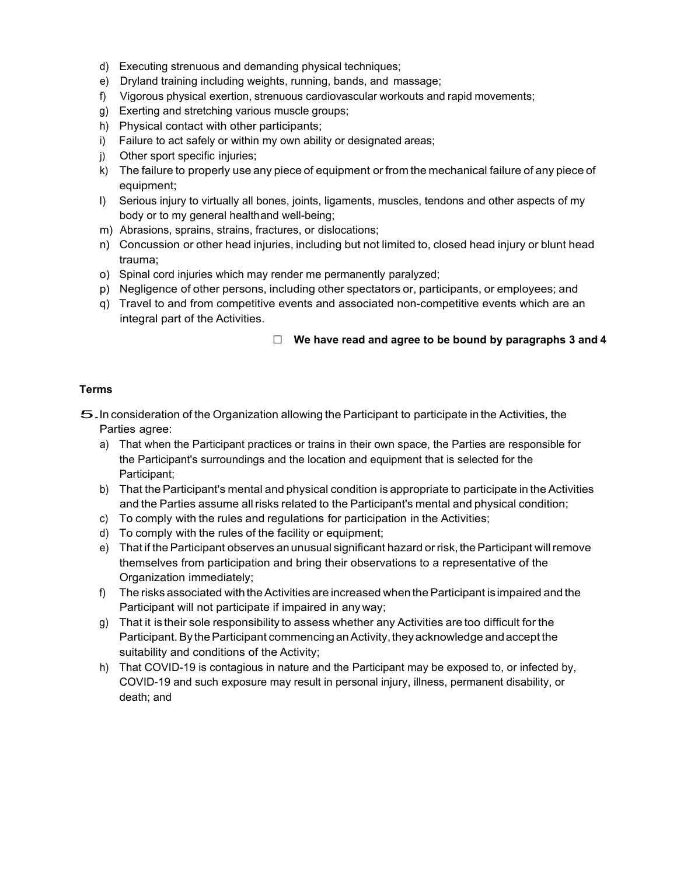- d) Executing strenuous and demanding physical techniques;
- e) Dryland training including weights, running, bands, and massage;
- f) Vigorous physical exertion, strenuous cardiovascular workouts and rapid movements;
- g) Exerting and stretching various muscle groups;
- h) Physical contact with other participants;
- i) Failure to act safely or within my own ability or designated areas;
- j) Other sport specific injuries;
- k) The failure to properly use any piece of equipment or from the mechanical failure of any piece of equipment;
- I) Serious injury to virtually all bones, joints, ligaments, muscles, tendons and other aspects of my body or to my general healthand well-being;
- m) Abrasions, sprains, strains, fractures, or dislocations;
- n) Concussion or other head injuries, including but not limited to, closed head injury or blunt head trauma;
- o) Spinal cord injuries which may render me permanently paralyzed;
- p) Negligence of other persons, including other spectators or, participants, or employees; and
- q) Travel to and from competitive events and associated non-competitive events which are an integral part of the Activities.

#### □ **We have read and agree to be bound by paragraphs 3 and 4**

#### **Terms**

5. In consideration of the Organization allowing the Participant to participate in the Activities, the Parties agree:

- a) That when the Participant practices or trains in their own space, the Parties are responsible for the Participant's surroundings and the location and equipment that is selected for the Participant;
- b) That the Participant's mental and physical condition is appropriate to participate in the Activities and the Parties assume all risks related to the Participant's mental and physical condition;
- c) To comply with the rules and regulations for participation in the Activities;
- d) To comply with the rules of the facility or equipment;
- e) That if the Participant observes an unusual significant hazard or risk, the Participant will remove themselves from participation and bring their observations to a representative of the Organization immediately;
- f) The risks associated with the Activities are increased when the Participant is impaired and the Participant will not participate if impaired in any way;
- g) That it is their sole responsibility to assess whether any Activities are too difficult for the Participant. By the Participant commencing an Activity, they acknowledge and accept the suitability and conditions of the Activity;
- h) That COVID-19 is contagious in nature and the Participant may be exposed to, or infected by, COVID-19 and such exposure may result in personal injury, illness, permanent disability, or death; and